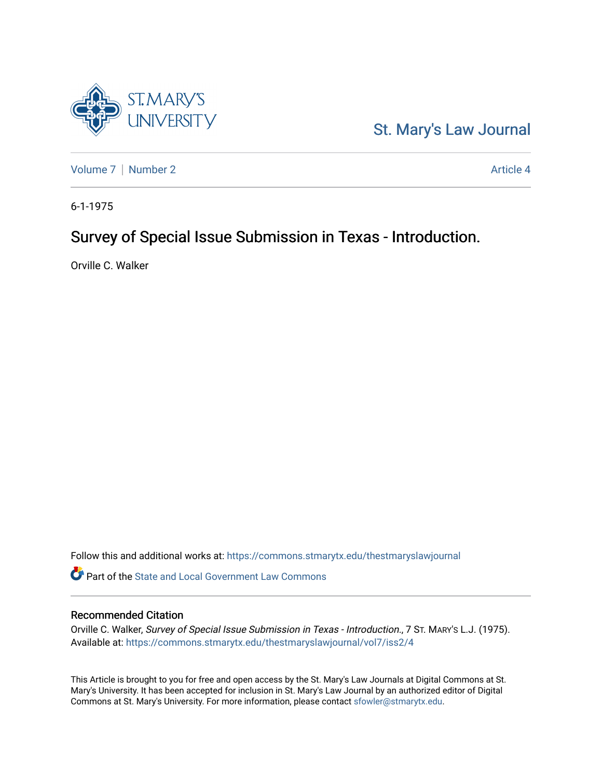

[St. Mary's Law Journal](https://commons.stmarytx.edu/thestmaryslawjournal) 

[Volume 7](https://commons.stmarytx.edu/thestmaryslawjournal/vol7) | [Number 2](https://commons.stmarytx.edu/thestmaryslawjournal/vol7/iss2) Article 4

6-1-1975

# Survey of Special Issue Submission in Texas - Introduction.

Orville C. Walker

Follow this and additional works at: [https://commons.stmarytx.edu/thestmaryslawjournal](https://commons.stmarytx.edu/thestmaryslawjournal?utm_source=commons.stmarytx.edu%2Fthestmaryslawjournal%2Fvol7%2Fiss2%2F4&utm_medium=PDF&utm_campaign=PDFCoverPages) 

Part of the [State and Local Government Law Commons](https://network.bepress.com/hgg/discipline/879?utm_source=commons.stmarytx.edu%2Fthestmaryslawjournal%2Fvol7%2Fiss2%2F4&utm_medium=PDF&utm_campaign=PDFCoverPages)

### Recommended Citation

Orville C. Walker, Survey of Special Issue Submission in Texas - Introduction., 7 ST. MARY'S L.J. (1975). Available at: [https://commons.stmarytx.edu/thestmaryslawjournal/vol7/iss2/4](https://commons.stmarytx.edu/thestmaryslawjournal/vol7/iss2/4?utm_source=commons.stmarytx.edu%2Fthestmaryslawjournal%2Fvol7%2Fiss2%2F4&utm_medium=PDF&utm_campaign=PDFCoverPages) 

This Article is brought to you for free and open access by the St. Mary's Law Journals at Digital Commons at St. Mary's University. It has been accepted for inclusion in St. Mary's Law Journal by an authorized editor of Digital Commons at St. Mary's University. For more information, please contact [sfowler@stmarytx.edu](mailto:sfowler@stmarytx.edu).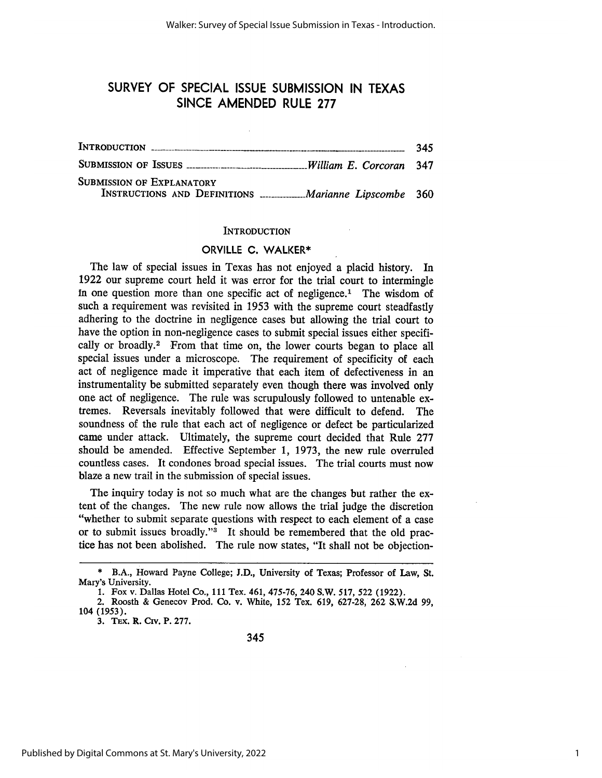## SURVEY OF SPECIAL ISSUE SUBMISSION IN TEXAS SINCE AMENDED RULE **277**

|                                                                                          | 345 |
|------------------------------------------------------------------------------------------|-----|
| SUBMISSION OF ISSUES <b>Manufacture</b> William E. Corcoran 347                          |     |
| <b>SUBMISSION OF EXPLANATORY</b><br>INSTRUCTIONS AND DEFINITIONS  Marianne Lipscombe 360 |     |
|                                                                                          |     |

#### **INTRODUCTION**

#### **ORVILLE C.** WALKER\*

The law of special issues in Texas has not enjoyed a placid history. In 1922 our supreme court held it was error for the trial court to intermingle In one question more than one specific act of negligence.' The wisdom of such a requirement was revisited in 1953 with the supreme court steadfastly adhering to the doctrine in negligence cases but allowing the trial court to have the option in non-negligence cases to submit special issues either specifically or broadly.<sup>2</sup> From that time on, the lower courts began to place all special issues under a microscope. The requirement of specificity of each act of negligence made it imperative that each item of defectiveness in an instrumentality be submitted separately even though there was involved only one act of negligence. The rule was scrupulously followed to untenable extremes. Reversals inevitably followed that were difficult to defend. The soundness of the rule that each act of negligence or defect be particularized came under attack. Ultimately, the supreme court decided that Rule 277 should be amended. Effective September 1, 1973, the new rule overruled countless cases. It condones broad special issues. The trial courts must now blaze a new trail in the submission of special issues.

The inquiry today is not so much what are the changes but rather the extent of the changes. The new rule now allows the trial judge the discretion "whether to submit separate questions with respect to each element of a case or to submit issues broadly."<sup>3</sup> It should be remembered that the old practice has not been abolished. The rule now states, "It shall not be objection-

**3.** TEx. R. Crv. P. **277.**

<sup>\*</sup> B.A., Howard Payne College; **J.D.,** University of Texas; Professor of Law, St. Mary's University.

<sup>1.</sup> Fox v. Dallas Hotel Co., **111** Tex. 461, 475-76, 240 S.W. 517, 522 (1922).

<sup>2.</sup> Roosth & Genecov Prod. Co. v. White, **152** Tex. **619, 627-28, 262** S.W.2d 99, 104 (1953).